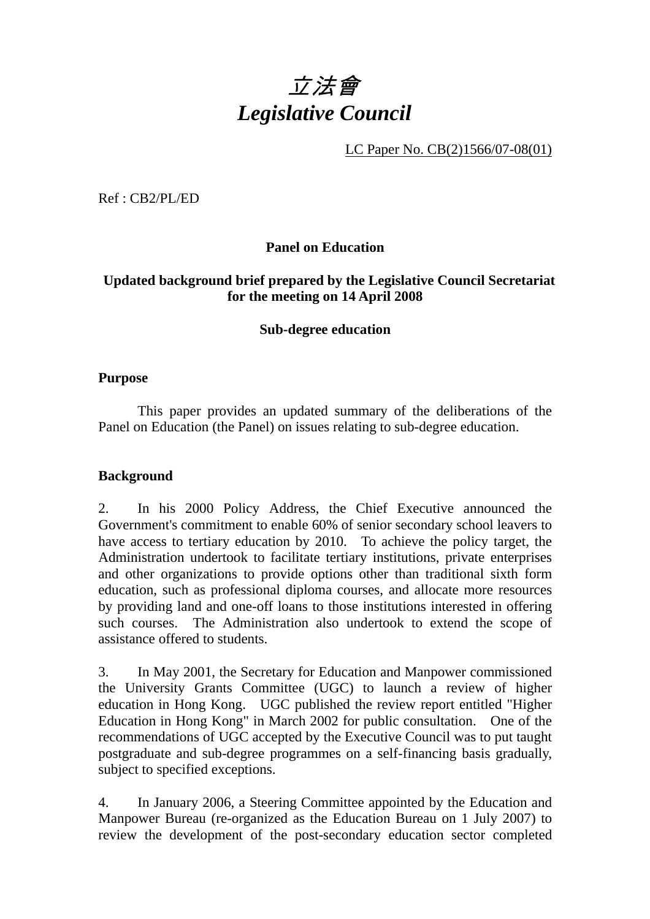# 立法會 *Legislative Council*

LC Paper No. CB(2)1566/07-08(01)

Ref : CB2/PL/ED

# **Panel on Education**

# **Updated background brief prepared by the Legislative Council Secretariat for the meeting on 14 April 2008**

#### **Sub-degree education**

#### **Purpose**

This paper provides an updated summary of the deliberations of the Panel on Education (the Panel) on issues relating to sub-degree education.

#### **Background**

2. In his 2000 Policy Address, the Chief Executive announced the Government's commitment to enable 60% of senior secondary school leavers to have access to tertiary education by 2010. To achieve the policy target, the Administration undertook to facilitate tertiary institutions, private enterprises and other organizations to provide options other than traditional sixth form education, such as professional diploma courses, and allocate more resources by providing land and one-off loans to those institutions interested in offering such courses. The Administration also undertook to extend the scope of assistance offered to students.

3. In May 2001, the Secretary for Education and Manpower commissioned the University Grants Committee (UGC) to launch a review of higher education in Hong Kong. UGC published the review report entitled "Higher Education in Hong Kong" in March 2002 for public consultation. One of the recommendations of UGC accepted by the Executive Council was to put taught postgraduate and sub-degree programmes on a self-financing basis gradually, subject to specified exceptions.

4. In January 2006, a Steering Committee appointed by the Education and Manpower Bureau (re-organized as the Education Bureau on 1 July 2007) to review the development of the post-secondary education sector completed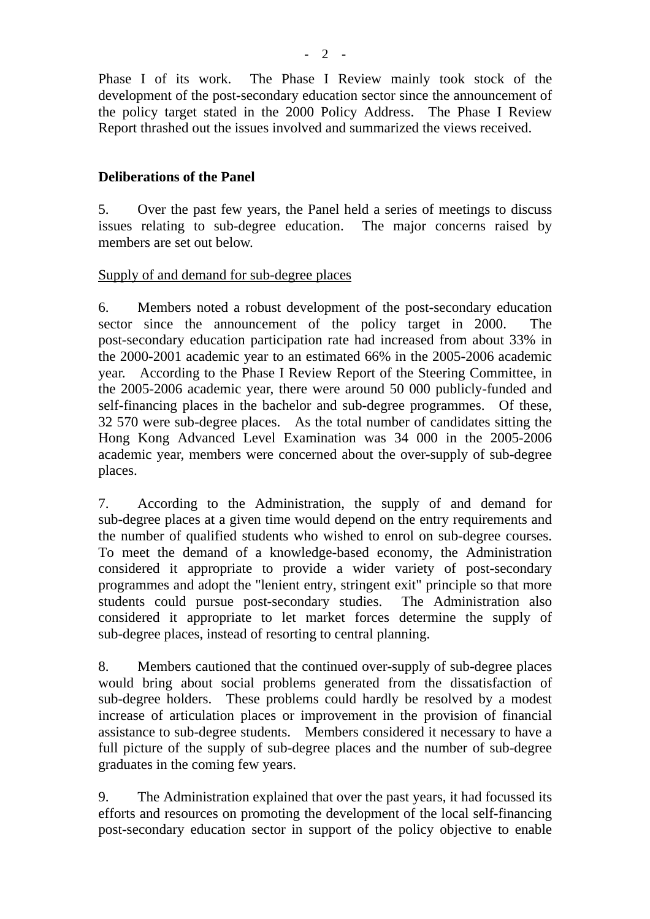Phase I of its work. The Phase I Review mainly took stock of the development of the post-secondary education sector since the announcement of the policy target stated in the 2000 Policy Address. The Phase I Review Report thrashed out the issues involved and summarized the views received.

## **Deliberations of the Panel**

5. Over the past few years, the Panel held a series of meetings to discuss issues relating to sub-degree education. The major concerns raised by members are set out below.

#### Supply of and demand for sub-degree places

6. Members noted a robust development of the post-secondary education sector since the announcement of the policy target in 2000. The post-secondary education participation rate had increased from about 33% in the 2000-2001 academic year to an estimated 66% in the 2005-2006 academic year. According to the Phase I Review Report of the Steering Committee, in the 2005-2006 academic year, there were around 50 000 publicly-funded and self-financing places in the bachelor and sub-degree programmes. Of these, 32 570 were sub-degree places. As the total number of candidates sitting the Hong Kong Advanced Level Examination was 34 000 in the 2005-2006 academic year, members were concerned about the over-supply of sub-degree places.

7. According to the Administration, the supply of and demand for sub-degree places at a given time would depend on the entry requirements and the number of qualified students who wished to enrol on sub-degree courses. To meet the demand of a knowledge-based economy, the Administration considered it appropriate to provide a wider variety of post-secondary programmes and adopt the "lenient entry, stringent exit" principle so that more students could pursue post-secondary studies. The Administration also considered it appropriate to let market forces determine the supply of sub-degree places, instead of resorting to central planning.

8. Members cautioned that the continued over-supply of sub-degree places would bring about social problems generated from the dissatisfaction of sub-degree holders. These problems could hardly be resolved by a modest increase of articulation places or improvement in the provision of financial assistance to sub-degree students. Members considered it necessary to have a full picture of the supply of sub-degree places and the number of sub-degree graduates in the coming few years.

9. The Administration explained that over the past years, it had focussed its efforts and resources on promoting the development of the local self-financing post-secondary education sector in support of the policy objective to enable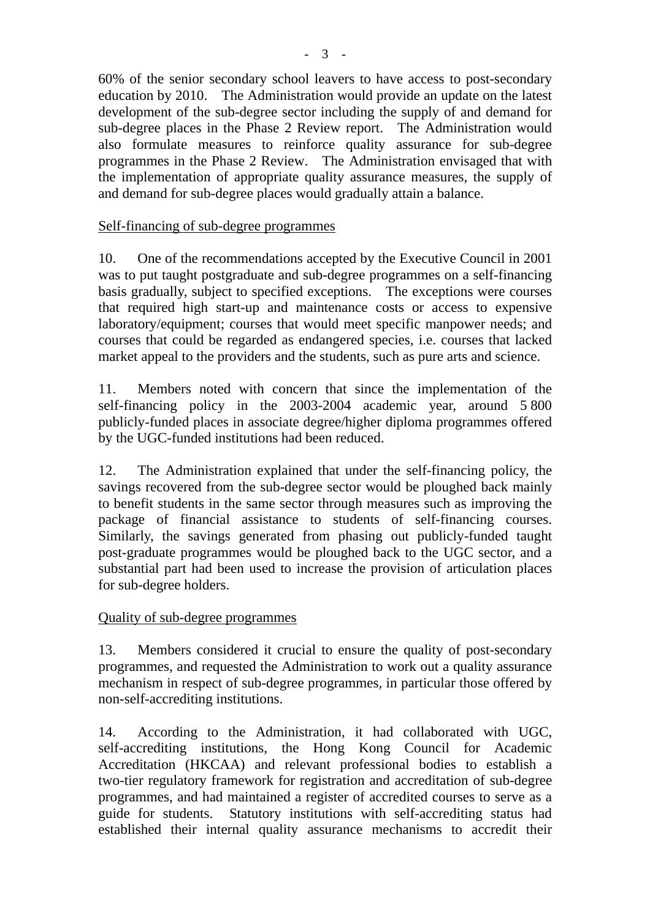60% of the senior secondary school leavers to have access to post-secondary education by 2010. The Administration would provide an update on the latest development of the sub-degree sector including the supply of and demand for sub-degree places in the Phase 2 Review report. The Administration would also formulate measures to reinforce quality assurance for sub-degree programmes in the Phase 2 Review. The Administration envisaged that with the implementation of appropriate quality assurance measures, the supply of and demand for sub-degree places would gradually attain a balance.

# Self-financing of sub-degree programmes

10. One of the recommendations accepted by the Executive Council in 2001 was to put taught postgraduate and sub-degree programmes on a self-financing basis gradually, subject to specified exceptions. The exceptions were courses that required high start-up and maintenance costs or access to expensive laboratory/equipment; courses that would meet specific manpower needs; and courses that could be regarded as endangered species, i.e. courses that lacked market appeal to the providers and the students, such as pure arts and science.

11. Members noted with concern that since the implementation of the self-financing policy in the 2003-2004 academic year, around 5 800 publicly-funded places in associate degree/higher diploma programmes offered by the UGC-funded institutions had been reduced.

12. The Administration explained that under the self-financing policy, the savings recovered from the sub-degree sector would be ploughed back mainly to benefit students in the same sector through measures such as improving the package of financial assistance to students of self-financing courses. Similarly, the savings generated from phasing out publicly-funded taught post-graduate programmes would be ploughed back to the UGC sector, and a substantial part had been used to increase the provision of articulation places for sub-degree holders.

#### Quality of sub-degree programmes

13. Members considered it crucial to ensure the quality of post-secondary programmes, and requested the Administration to work out a quality assurance mechanism in respect of sub-degree programmes, in particular those offered by non-self-accrediting institutions.

14. According to the Administration, it had collaborated with UGC, self-accrediting institutions, the Hong Kong Council for Academic Accreditation (HKCAA) and relevant professional bodies to establish a two-tier regulatory framework for registration and accreditation of sub-degree programmes, and had maintained a register of accredited courses to serve as a guide for students. Statutory institutions with self-accrediting status had established their internal quality assurance mechanisms to accredit their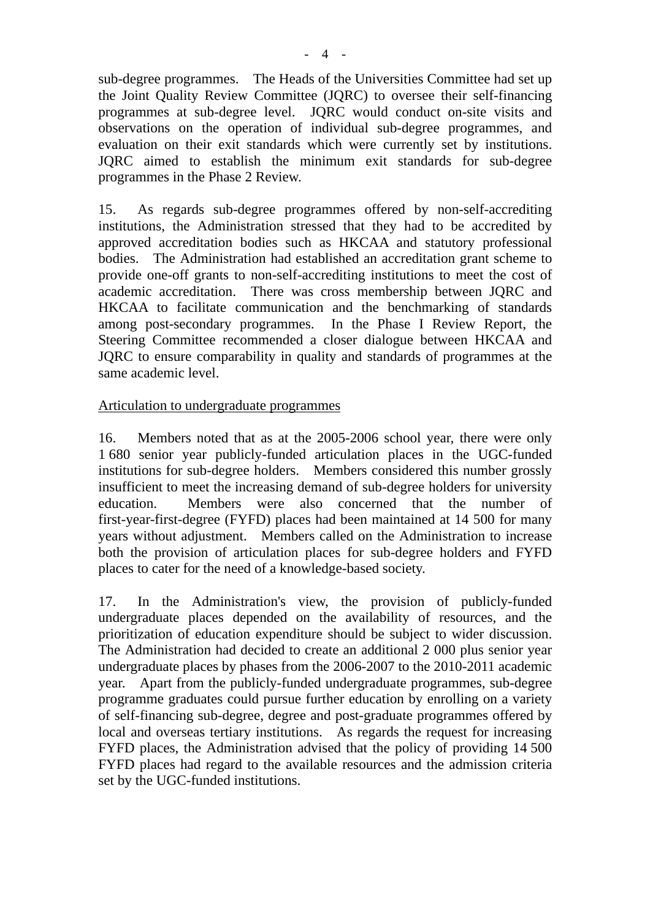sub-degree programmes. The Heads of the Universities Committee had set up the Joint Quality Review Committee (JQRC) to oversee their self-financing programmes at sub-degree level. JQRC would conduct on-site visits and observations on the operation of individual sub-degree programmes, and evaluation on their exit standards which were currently set by institutions. JQRC aimed to establish the minimum exit standards for sub-degree programmes in the Phase 2 Review.

15. As regards sub-degree programmes offered by non-self-accrediting institutions, the Administration stressed that they had to be accredited by approved accreditation bodies such as HKCAA and statutory professional bodies. The Administration had established an accreditation grant scheme to provide one-off grants to non-self-accrediting institutions to meet the cost of academic accreditation. There was cross membership between JQRC and HKCAA to facilitate communication and the benchmarking of standards among post-secondary programmes. In the Phase I Review Report, the Steering Committee recommended a closer dialogue between HKCAA and JQRC to ensure comparability in quality and standards of programmes at the same academic level.

#### Articulation to undergraduate programmes

16. Members noted that as at the 2005-2006 school year, there were only 1 680 senior year publicly-funded articulation places in the UGC-funded institutions for sub-degree holders. Members considered this number grossly insufficient to meet the increasing demand of sub-degree holders for university education. Members were also concerned that the number of first-year-first-degree (FYFD) places had been maintained at 14 500 for many years without adjustment. Members called on the Administration to increase both the provision of articulation places for sub-degree holders and FYFD places to cater for the need of a knowledge-based society.

17. In the Administration's view, the provision of publicly-funded undergraduate places depended on the availability of resources, and the prioritization of education expenditure should be subject to wider discussion. The Administration had decided to create an additional 2 000 plus senior year undergraduate places by phases from the 2006-2007 to the 2010-2011 academic year. Apart from the publicly-funded undergraduate programmes, sub-degree programme graduates could pursue further education by enrolling on a variety of self-financing sub-degree, degree and post-graduate programmes offered by local and overseas tertiary institutions. As regards the request for increasing FYFD places, the Administration advised that the policy of providing 14 500 FYFD places had regard to the available resources and the admission criteria set by the UGC-funded institutions.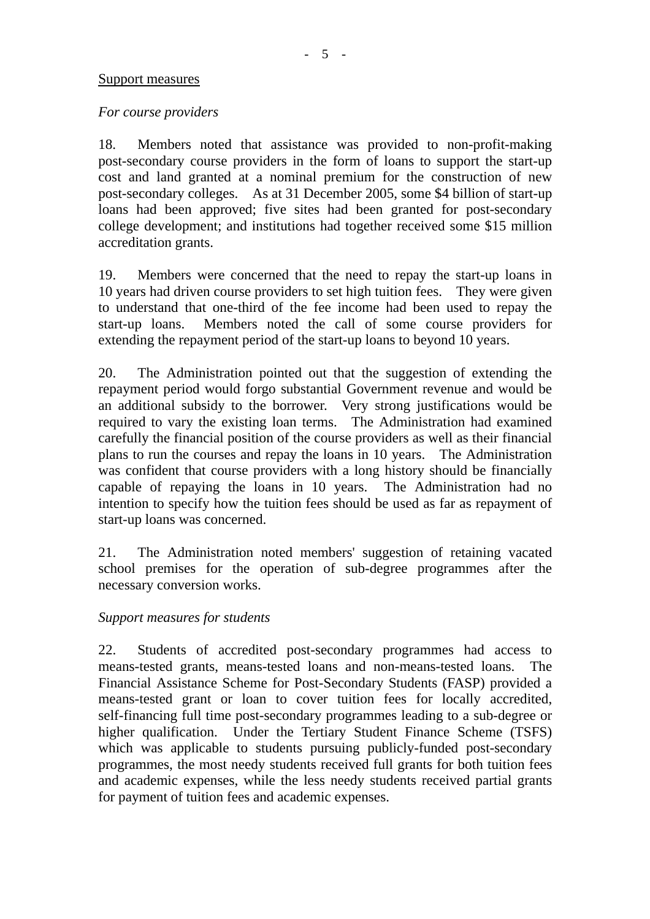#### Support measures

#### *For course providers*

18. Members noted that assistance was provided to non-profit-making post-secondary course providers in the form of loans to support the start-up cost and land granted at a nominal premium for the construction of new post-secondary colleges. As at 31 December 2005, some \$4 billion of start-up loans had been approved; five sites had been granted for post-secondary college development; and institutions had together received some \$15 million accreditation grants.

19. Members were concerned that the need to repay the start-up loans in 10 years had driven course providers to set high tuition fees. They were given to understand that one-third of the fee income had been used to repay the start-up loans. Members noted the call of some course providers for extending the repayment period of the start-up loans to beyond 10 years.

20. The Administration pointed out that the suggestion of extending the repayment period would forgo substantial Government revenue and would be an additional subsidy to the borrower. Very strong justifications would be required to vary the existing loan terms. The Administration had examined carefully the financial position of the course providers as well as their financial plans to run the courses and repay the loans in 10 years. The Administration was confident that course providers with a long history should be financially capable of repaying the loans in 10 years. The Administration had no intention to specify how the tuition fees should be used as far as repayment of start-up loans was concerned.

21. The Administration noted members' suggestion of retaining vacated school premises for the operation of sub-degree programmes after the necessary conversion works.

#### *Support measures for students*

22. Students of accredited post-secondary programmes had access to means-tested grants, means-tested loans and non-means-tested loans. The Financial Assistance Scheme for Post-Secondary Students (FASP) provided a means-tested grant or loan to cover tuition fees for locally accredited, self-financing full time post-secondary programmes leading to a sub-degree or higher qualification. Under the Tertiary Student Finance Scheme (TSFS) which was applicable to students pursuing publicly-funded post-secondary programmes, the most needy students received full grants for both tuition fees and academic expenses, while the less needy students received partial grants for payment of tuition fees and academic expenses.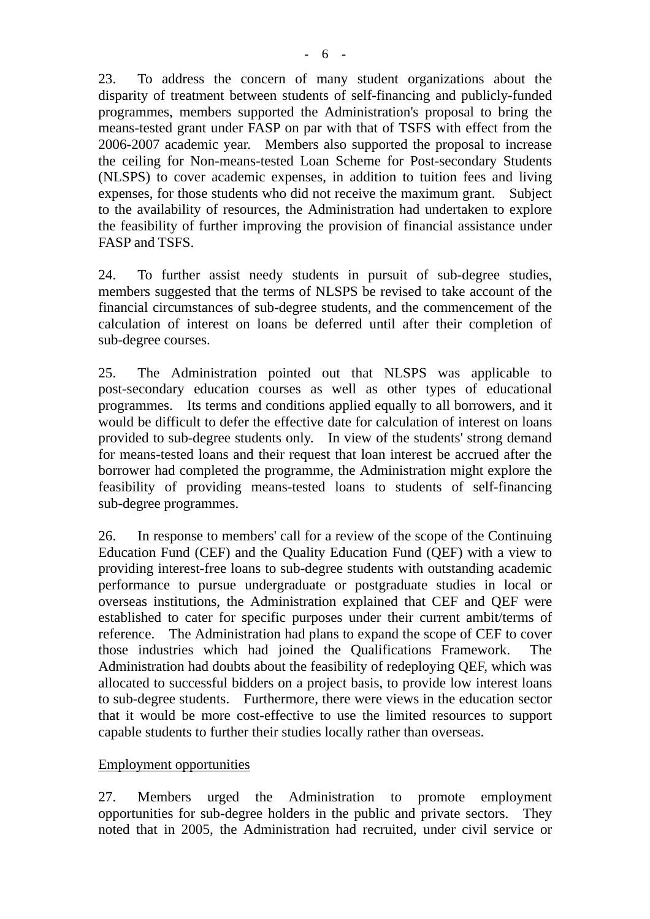23. To address the concern of many student organizations about the disparity of treatment between students of self-financing and publicly-funded programmes, members supported the Administration's proposal to bring the means-tested grant under FASP on par with that of TSFS with effect from the 2006-2007 academic year. Members also supported the proposal to increase the ceiling for Non-means-tested Loan Scheme for Post-secondary Students (NLSPS) to cover academic expenses, in addition to tuition fees and living expenses, for those students who did not receive the maximum grant. Subject to the availability of resources, the Administration had undertaken to explore the feasibility of further improving the provision of financial assistance under FASP and TSFS.

24. To further assist needy students in pursuit of sub-degree studies, members suggested that the terms of NLSPS be revised to take account of the financial circumstances of sub-degree students, and the commencement of the calculation of interest on loans be deferred until after their completion of sub-degree courses.

25. The Administration pointed out that NLSPS was applicable to post-secondary education courses as well as other types of educational programmes. Its terms and conditions applied equally to all borrowers, and it would be difficult to defer the effective date for calculation of interest on loans provided to sub-degree students only. In view of the students' strong demand for means-tested loans and their request that loan interest be accrued after the borrower had completed the programme, the Administration might explore the feasibility of providing means-tested loans to students of self-financing sub-degree programmes.

26. In response to members' call for a review of the scope of the Continuing Education Fund (CEF) and the Quality Education Fund (QEF) with a view to providing interest-free loans to sub-degree students with outstanding academic performance to pursue undergraduate or postgraduate studies in local or overseas institutions, the Administration explained that CEF and QEF were established to cater for specific purposes under their current ambit/terms of reference. The Administration had plans to expand the scope of CEF to cover those industries which had joined the Qualifications Framework. The Administration had doubts about the feasibility of redeploying QEF, which was allocated to successful bidders on a project basis, to provide low interest loans to sub-degree students. Furthermore, there were views in the education sector that it would be more cost-effective to use the limited resources to support capable students to further their studies locally rather than overseas.

# Employment opportunities

27. Members urged the Administration to promote employment opportunities for sub-degree holders in the public and private sectors. They noted that in 2005, the Administration had recruited, under civil service or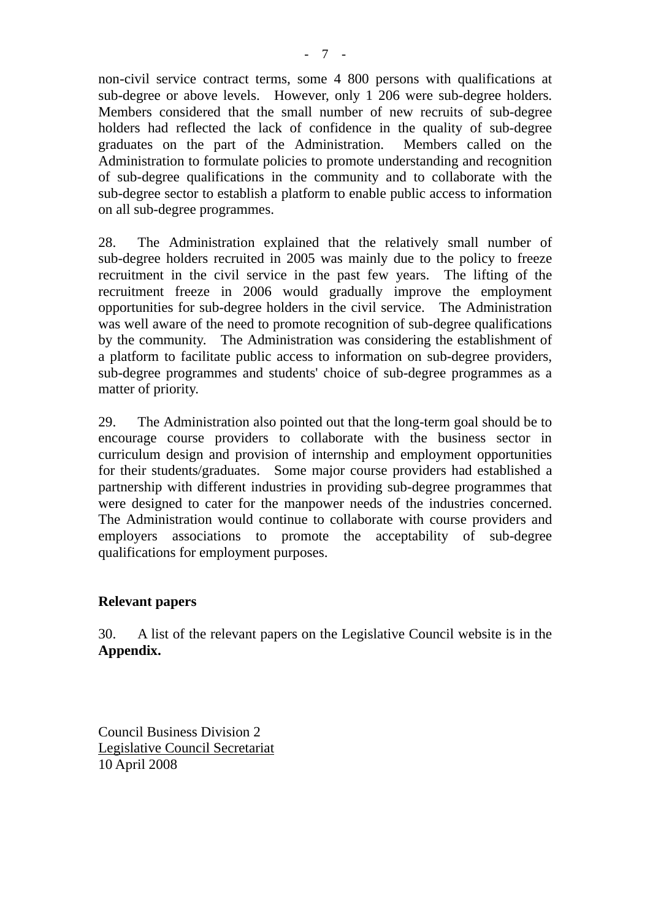non-civil service contract terms, some 4 800 persons with qualifications at sub-degree or above levels. However, only 1 206 were sub-degree holders. Members considered that the small number of new recruits of sub-degree holders had reflected the lack of confidence in the quality of sub-degree graduates on the part of the Administration. Members called on the Administration to formulate policies to promote understanding and recognition of sub-degree qualifications in the community and to collaborate with the sub-degree sector to establish a platform to enable public access to information on all sub-degree programmes.

28. The Administration explained that the relatively small number of sub-degree holders recruited in 2005 was mainly due to the policy to freeze recruitment in the civil service in the past few years. The lifting of the recruitment freeze in 2006 would gradually improve the employment opportunities for sub-degree holders in the civil service. The Administration was well aware of the need to promote recognition of sub-degree qualifications by the community. The Administration was considering the establishment of a platform to facilitate public access to information on sub-degree providers, sub-degree programmes and students' choice of sub-degree programmes as a matter of priority.

29. The Administration also pointed out that the long-term goal should be to encourage course providers to collaborate with the business sector in curriculum design and provision of internship and employment opportunities for their students/graduates. Some major course providers had established a partnership with different industries in providing sub-degree programmes that were designed to cater for the manpower needs of the industries concerned. The Administration would continue to collaborate with course providers and employers associations to promote the acceptability of sub-degree qualifications for employment purposes.

# **Relevant papers**

30. A list of the relevant papers on the Legislative Council website is in the **Appendix.**

Council Business Division 2 Legislative Council Secretariat 10 April 2008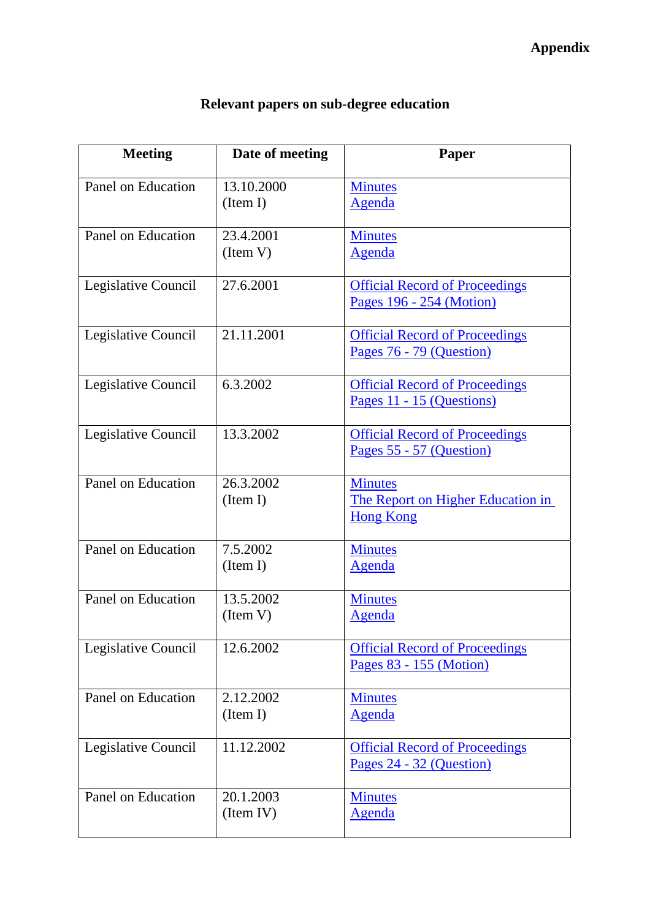| <b>Meeting</b>      | Date of meeting        | Paper                                                                   |
|---------------------|------------------------|-------------------------------------------------------------------------|
| Panel on Education  | 13.10.2000<br>(Item I) | <b>Minutes</b><br><b>Agenda</b>                                         |
| Panel on Education  | 23.4.2001<br>(Item V)  | <b>Minutes</b><br>Agenda                                                |
| Legislative Council | 27.6.2001              | <b>Official Record of Proceedings</b><br>Pages 196 - 254 (Motion)       |
| Legislative Council | 21.11.2001             | <b>Official Record of Proceedings</b><br>Pages 76 - 79 (Question)       |
| Legislative Council | 6.3.2002               | <b>Official Record of Proceedings</b><br>Pages 11 - 15 (Questions)      |
| Legislative Council | 13.3.2002              | <b>Official Record of Proceedings</b><br>Pages 55 - 57 (Question)       |
| Panel on Education  | 26.3.2002<br>(Item I)  | <b>Minutes</b><br>The Report on Higher Education in<br><b>Hong Kong</b> |
| Panel on Education  | 7.5.2002<br>(Item I)   | <b>Minutes</b><br><b>Agenda</b>                                         |
| Panel on Education  | 13.5.2002<br>(Item V)  | <b>Minutes</b><br>Agenda                                                |
| Legislative Council | 12.6.2002              | <b>Official Record of Proceedings</b><br>Pages 83 - 155 (Motion)        |
| Panel on Education  | 2.12.2002<br>(Item I)  | <b>Minutes</b><br><b>Agenda</b>                                         |
| Legislative Council | 11.12.2002             | <b>Official Record of Proceedings</b><br>Pages 24 - 32 (Question)       |
| Panel on Education  | 20.1.2003<br>(Item IV) | <b>Minutes</b><br><u>Agenda</u>                                         |

# **Relevant papers on sub-degree education**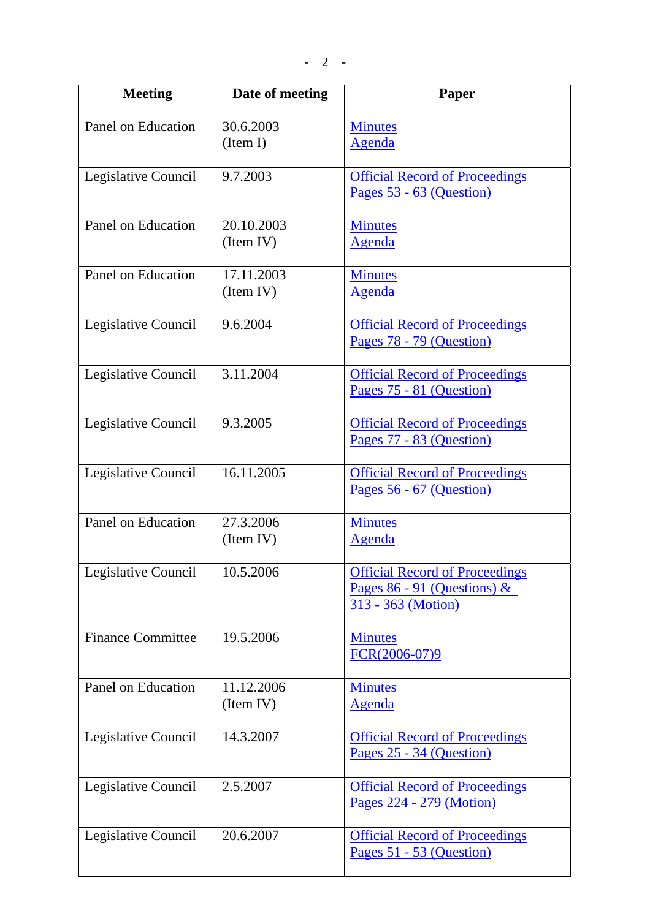| <b>Meeting</b>           | Date of meeting         | Paper                                                                                        |
|--------------------------|-------------------------|----------------------------------------------------------------------------------------------|
| Panel on Education       | 30.6.2003<br>(Item I)   | <b>Minutes</b><br><b>Agenda</b>                                                              |
| Legislative Council      | 9.7.2003                | <b>Official Record of Proceedings</b><br>Pages 53 - 63 (Question)                            |
| Panel on Education       | 20.10.2003<br>(Item IV) | <b>Minutes</b><br><b>Agenda</b>                                                              |
| Panel on Education       | 17.11.2003<br>(Item IV) | <b>Minutes</b><br><b>Agenda</b>                                                              |
| Legislative Council      | 9.6.2004                | <b>Official Record of Proceedings</b><br>Pages 78 - 79 (Question)                            |
| Legislative Council      | 3.11.2004               | <b>Official Record of Proceedings</b><br>Pages 75 - 81 (Question)                            |
| Legislative Council      | 9.3.2005                | <b>Official Record of Proceedings</b><br>Pages 77 - 83 (Question)                            |
| Legislative Council      | 16.11.2005              | <b>Official Record of Proceedings</b><br>Pages 56 - 67 (Question)                            |
| Panel on Education       | 27.3.2006<br>(Item IV)  | <b>Minutes</b><br><b>Agenda</b>                                                              |
| Legislative Council      | 10.5.2006               | <b>Official Record of Proceedings</b><br>Pages $86 - 91$ (Questions) &<br>313 - 363 (Motion) |
| <b>Finance Committee</b> | 19.5.2006               | <b>Minutes</b><br>FCR(2006-07)9                                                              |
| Panel on Education       | 11.12.2006<br>(Item IV) | <b>Minutes</b><br>Agenda                                                                     |
| Legislative Council      | 14.3.2007               | <b>Official Record of Proceedings</b><br>Pages 25 - 34 (Question)                            |
| Legislative Council      | 2.5.2007                | <b>Official Record of Proceedings</b><br>Pages 224 - 279 (Motion)                            |
| Legislative Council      | 20.6.2007               | <b>Official Record of Proceedings</b><br>Pages 51 - 53 (Question)                            |